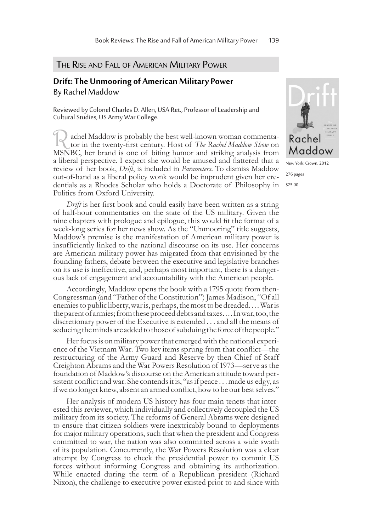## THE RISE AND FALL OF AMERICAN MILITARY POWER

## **Drift: The Unmooring of American Military Power** By Rachel Maddow

Reviewed by Colonel Charles D. Allen, USA Ret., Professor of Leadership and Cultural Studies, US Army War College.

achel Maddow is probably the best well-known woman commenta- tor in the twenty-first century. Host of *The Rachel Maddow Show* on MSNBC, her brand is one of biting humor and striking analysis from a liberal perspective. I expect she would be amused and flattered that a review of her book, *Drift*, is included in *Parameters*. To dismiss Maddow out-of-hand as a liberal policy wonk would be imprudent given her cre- dentials as a Rhodes Scholar who holds a Doctorate of Philosophy in Politics from Oxford University.

*Drift* is her first book and could easily have been written as a string of half-hour commentaries on the state of the US military. Given the nine chapters with prologue and epilogue, this would fit the format of a week-long series for her news show. As the "Unmooring" title suggests, Maddow's premise is the manifestation of American military power is insufficiently linked to the national discourse on its use. Her concerns are American military power has migrated from that envisioned by the founding fathers, debate between the executive and legislative branches on its use is ineffective, and, perhaps most important, there is a dangerous lack of engagement and accountability with the American people.

Accordingly, Maddow opens the book with a 1795 quote from then-Congressman (and "Father of the Constitution") James Madison, "Of all enemies to public liberty, war is, perhaps, the most to be dreaded. . . . War is the parent of armies; from these proceed debts and taxes. . . . In war, too, the discretionary power of the Executive is extended . . . and all the means of seducing the minds are added to those of subduing the force of the people."

Her focus is on military power that emerged with the national experience of the Vietnam War. Two key items sprung from that conflict—the restructuring of the Army Guard and Reserve by then-Chief of Staff Creighton Abrams and the War Powers Resolution of 1973—serve as the foundation of Maddow's discourse on the American attitude toward per-<br>sistent conflict and war. She contends it is, "as if peace . . . made us edgy, as if we no longer knew, absent an armed conflict, how to be our best selves."

Her analysis of modern US history has four main tenets that interested this reviewer, which individually and collectively decoupled the US military from its society. The reforms of General Abrams were designed to ensure that citizen-soldiers were inextricably bound to deployments for major military operations, such that when the president and Congress committed to war, the nation was also committed across a wide swath of its population. Concurrently, the War Powers Resolution was a clear attempt by Congress to check the presidential power to commit US forces without informing Congress and obtaining its authorization. While enacted during the term of a Republican president (Richard Nixon), the challenge to executive power existed prior to and since with



New York: Crown, 2012 276 pages \$25.00